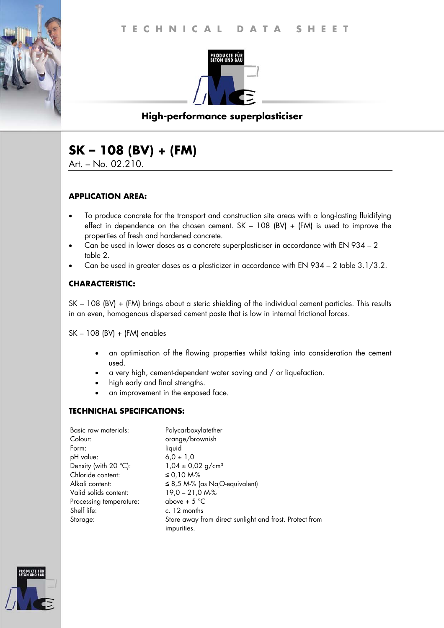

# **High-performance superplasticiser**

# **SK – 108 (BV) + (FM)**

Art. – No. 02.210.

#### **APPLICATION AREA:**

- To produce concrete for the transport and construction site areas with a long-lasting fluidifying effect in dependence on the chosen cement. SK – 108 (BV) + (FM) is used to improve the properties of fresh and hardened concrete.
- Can be used in lower doses as a concrete superplasticiser in accordance with EN 934 2 table 2.
- Can be used in greater doses as a plasticizer in accordance with EN 934 2 table 3.1/3.2.

#### **CHARACTERISTIC:**

SK – 108 (BV) + (FM) brings about a steric shielding of the individual cement particles. This results in an even, homogenous dispersed cement paste that is low in internal frictional forces.

SK – 108 (BV) + (FM) enables

- an optimisation of the flowing properties whilst taking into consideration the cement used.
- a very high, cement-dependent water saving and / or liquefaction.
- high early and final strengths.
- an improvement in the exposed face.

#### **TECHNICHAL SPECIFICATIONS:**

| Basic raw materials:           | Polycarboxylatether                                                    |
|--------------------------------|------------------------------------------------------------------------|
| Colour:                        | orange/brownish                                                        |
| Form:                          | liquid                                                                 |
| pH value:                      | $6.0 \pm 1.0$                                                          |
| Density (with $20^{\circ}$ C): | $1,04 \pm 0,02$ g/cm <sup>3</sup>                                      |
| Chloride content:              | ≤ 0,10 M-%                                                             |
| Alkali content:                | $\leq$ 8,5 M-% (as NaO-equivalent)                                     |
| Valid solids content:          | $19,0 - 21,0 M2$                                                       |
| Processing temperature:        | above + $5^{\circ}$ C                                                  |
| Shelf life:                    | c. 12 months                                                           |
| Storage:                       | Store away from direct sunlight and frost. Protect from<br>impurities. |